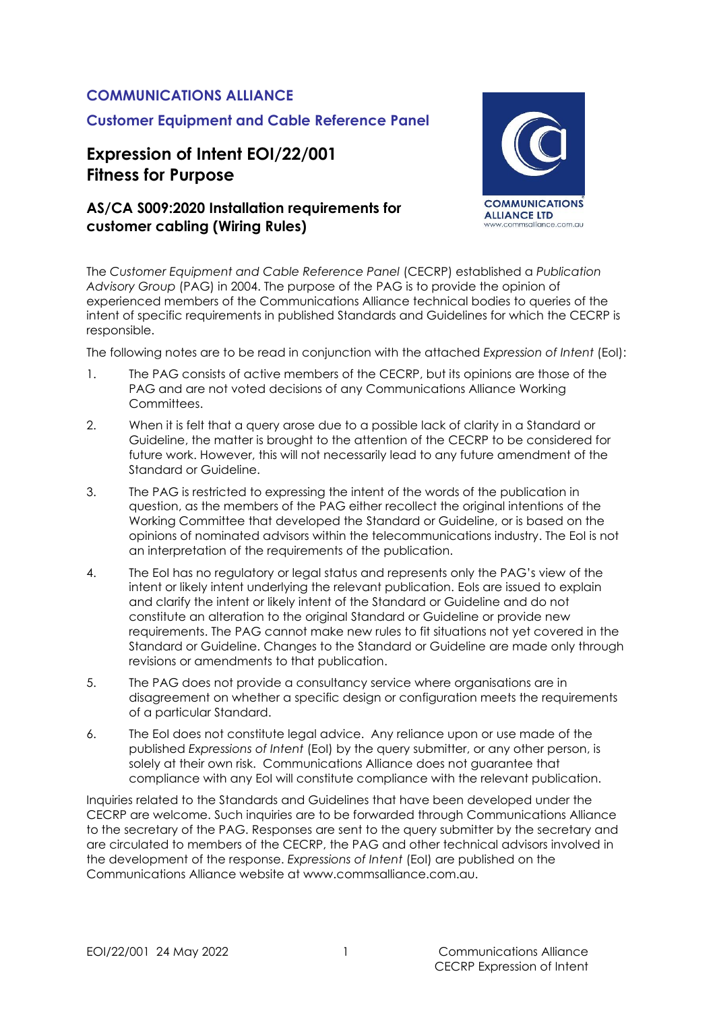### **COMMUNICATIONS ALLIANCE**

### **Customer Equipment and Cable Reference Panel**

# **Expression of Intent EOI/22/001 Fitness for Purpose**

### **AS/CA S009:2020 Installation requirements for customer cabling (Wiring Rules)**



The *Customer Equipment and Cable Reference Panel* (CECRP) established a *Publication Advisory Group* (PAG) in 2004. The purpose of the PAG is to provide the opinion of experienced members of the Communications Alliance technical bodies to queries of the intent of specific requirements in published Standards and Guidelines for which the CECRP is responsible.

The following notes are to be read in conjunction with the attached *Expression of Intent* (EoI):

- 1. The PAG consists of active members of the CECRP, but its opinions are those of the PAG and are not voted decisions of any Communications Alliance Working Committees.
- 2. When it is felt that a query arose due to a possible lack of clarity in a Standard or Guideline, the matter is brought to the attention of the CECRP to be considered for future work. However, this will not necessarily lead to any future amendment of the Standard or Guideline.
- 3. The PAG is restricted to expressing the intent of the words of the publication in question, as the members of the PAG either recollect the original intentions of the Working Committee that developed the Standard or Guideline, or is based on the opinions of nominated advisors within the telecommunications industry. The EoI is not an interpretation of the requirements of the publication.
- 4. The EoI has no regulatory or legal status and represents only the PAG's view of the intent or likely intent underlying the relevant publication. EoIs are issued to explain and clarify the intent or likely intent of the Standard or Guideline and do not constitute an alteration to the original Standard or Guideline or provide new requirements. The PAG cannot make new rules to fit situations not yet covered in the Standard or Guideline. Changes to the Standard or Guideline are made only through revisions or amendments to that publication.
- 5. The PAG does not provide a consultancy service where organisations are in disagreement on whether a specific design or configuration meets the requirements of a particular Standard.
- 6. The EoI does not constitute legal advice. Any reliance upon or use made of the published *Expressions of Intent* (EoI) by the query submitter, or any other person, is solely at their own risk. Communications Alliance does not guarantee that compliance with any EoI will constitute compliance with the relevant publication.

Inquiries related to the Standards and Guidelines that have been developed under the CECRP are welcome. Such inquiries are to be forwarded through Communications Alliance to the secretary of the PAG. Responses are sent to the query submitter by the secretary and are circulated to members of the CECRP, the PAG and other technical advisors involved in the development of the response. *Expressions of Intent* (EoI) are published on the Communications Alliance website at www.commsalliance.com.au.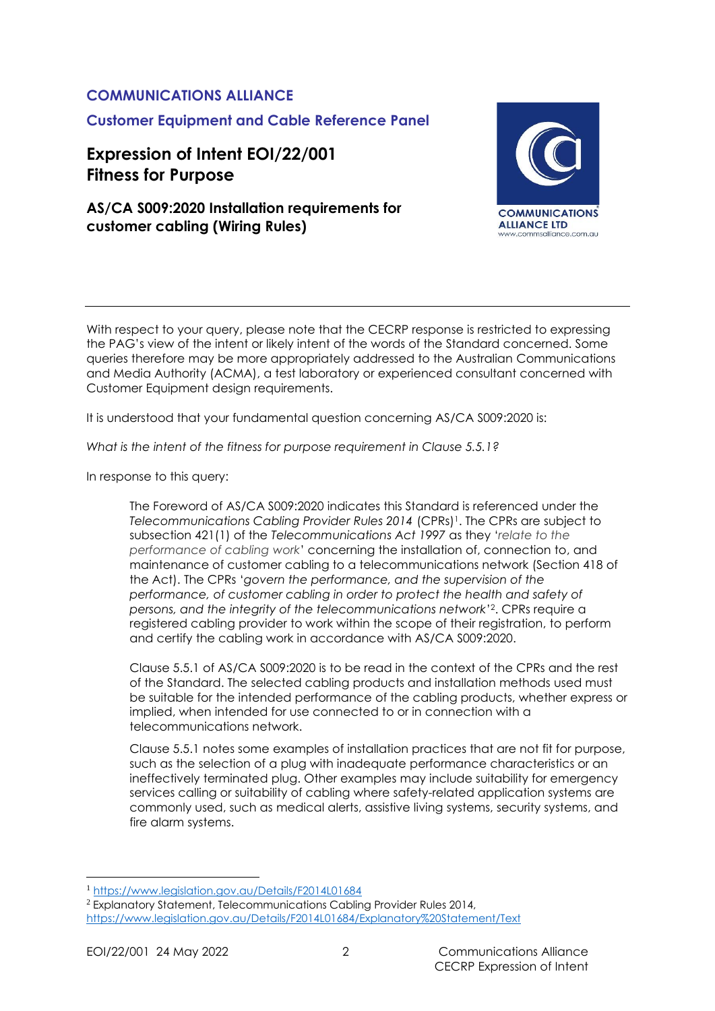### **COMMUNICATIONS ALLIANCE**

**Customer Equipment and Cable Reference Panel**

# **Expression of Intent EOI/22/001 Fitness for Purpose**

## **AS/CA S009:2020 Installation requirements for customer cabling (Wiring Rules)**



With respect to your query, please note that the CECRP response is restricted to expressing the PAG's view of the intent or likely intent of the words of the Standard concerned. Some queries therefore may be more appropriately addressed to the Australian Communications and Media Authority (ACMA), a test laboratory or experienced consultant concerned with Customer Equipment design requirements.

It is understood that your fundamental question concerning AS/CA S009:2020 is:

*What is the intent of the fitness for purpose requirement in Clause 5.5.1?*

In response to this query:

The Foreword of AS/CA S009:2020 indicates this Standard is referenced under the *Telecommunications Cabling Provider Rules 2014* (CPRs) <sup>1</sup>. The CPRs are subject to subsection 421(1) of the *Telecommunications Act 1997* as they '*relate to the performance of cabling work*' concerning the installation of, connection to, and maintenance of customer cabling to a telecommunications network (Section 418 of the Act). The CPRs '*govern the performance, and the supervision of the performance, of customer cabling in order to protect the health and safety of persons, and the integrity of the telecommunications network*' <sup>2</sup>. CPRs require a registered cabling provider to work within the scope of their registration, to perform and certify the cabling work in accordance with AS/CA S009:2020.

Clause 5.5.1 of AS/CA S009:2020 is to be read in the context of the CPRs and the rest of the Standard. The selected cabling products and installation methods used must be suitable for the intended performance of the cabling products, whether express or implied, when intended for use connected to or in connection with a telecommunications network.

Clause 5.5.1 notes some examples of installation practices that are not fit for purpose, such as the selection of a plug with inadequate performance characteristics or an ineffectively terminated plug. Other examples may include suitability for emergency services calling or suitability of cabling where safety-related application systems are commonly used, such as medical alerts, assistive living systems, security systems, and fire alarm systems.

<sup>1</sup> <https://www.legislation.gov.au/Details/F2014L01684>

<sup>&</sup>lt;sup>2</sup> Explanatory Statement, Telecommunications Cabling Provider Rules 2014, <https://www.legislation.gov.au/Details/F2014L01684/Explanatory%20Statement/Text>